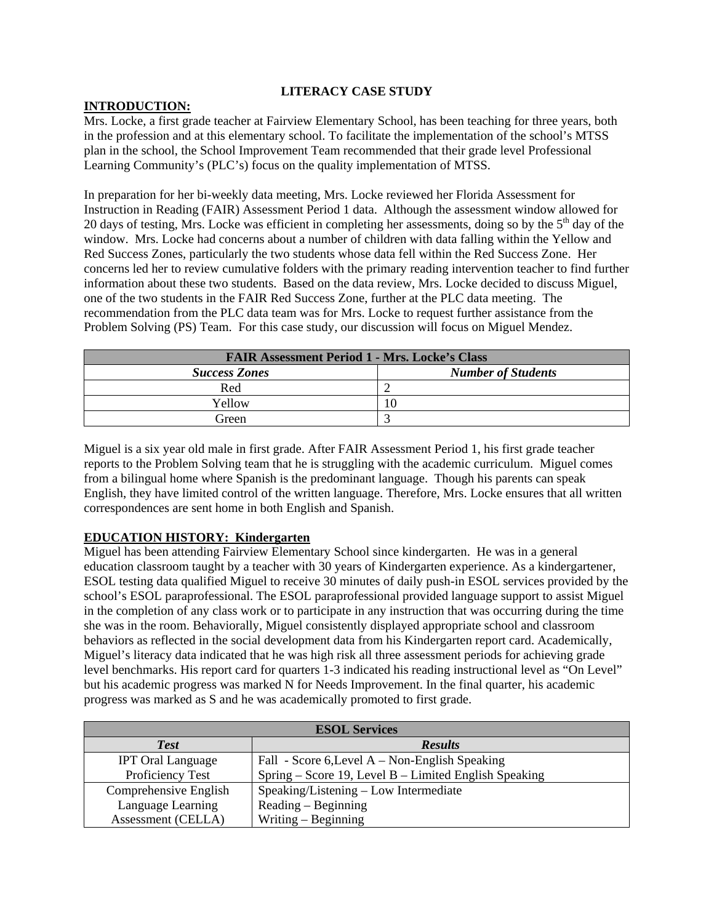### **LITERACY CASE STUDY**

### **INTRODUCTION:**

Mrs. Locke, a first grade teacher at Fairview Elementary School, has been teaching for three years, both in the profession and at this elementary school. To facilitate the implementation of the school's MTSS plan in the school, the School Improvement Team recommended that their grade level Professional Learning Community's (PLC's) focus on the quality implementation of MTSS.

In preparation for her bi-weekly data meeting, Mrs. Locke reviewed her Florida Assessment for Instruction in Reading (FAIR) Assessment Period 1 data. Although the assessment window allowed for 20 days of testing, Mrs. Locke was efficient in completing her assessments, doing so by the  $5<sup>th</sup>$  day of the window. Mrs. Locke had concerns about a number of children with data falling within the Yellow and Red Success Zones, particularly the two students whose data fell within the Red Success Zone. Her concerns led her to review cumulative folders with the primary reading intervention teacher to find further information about these two students. Based on the data review, Mrs. Locke decided to discuss Miguel, one of the two students in the FAIR Red Success Zone, further at the PLC data meeting. The recommendation from the PLC data team was for Mrs. Locke to request further assistance from the Problem Solving (PS) Team. For this case study, our discussion will focus on Miguel Mendez.

| <b>FAIR Assessment Period 1 - Mrs. Locke's Class</b> |                           |  |
|------------------------------------------------------|---------------------------|--|
| <b>Success Zones</b>                                 | <b>Number of Students</b> |  |
| Red                                                  |                           |  |
| Yellow                                               | 10                        |  |
| Green                                                |                           |  |

Miguel is a six year old male in first grade. After FAIR Assessment Period 1, his first grade teacher reports to the Problem Solving team that he is struggling with the academic curriculum. Miguel comes from a bilingual home where Spanish is the predominant language. Though his parents can speak English, they have limited control of the written language. Therefore, Mrs. Locke ensures that all written correspondences are sent home in both English and Spanish.

## **EDUCATION HISTORY: Kindergarten**

Miguel has been attending Fairview Elementary School since kindergarten. He was in a general education classroom taught by a teacher with 30 years of Kindergarten experience. As a kindergartener, ESOL testing data qualified Miguel to receive 30 minutes of daily push-in ESOL services provided by the school's ESOL paraprofessional. The ESOL paraprofessional provided language support to assist Miguel in the completion of any class work or to participate in any instruction that was occurring during the time she was in the room. Behaviorally, Miguel consistently displayed appropriate school and classroom behaviors as reflected in the social development data from his Kindergarten report card. Academically, Miguel's literacy data indicated that he was high risk all three assessment periods for achieving grade level benchmarks. His report card for quarters 1-3 indicated his reading instructional level as "On Level" but his academic progress was marked N for Needs Improvement. In the final quarter, his academic progress was marked as S and he was academically promoted to first grade.

| <b>ESOL Services</b>     |                                                       |  |  |
|--------------------------|-------------------------------------------------------|--|--|
| <b>Test</b>              | <b>Results</b>                                        |  |  |
| <b>IPT</b> Oral Language | Fall - Score 6, Level $A - Non-English Specing$       |  |  |
| Proficiency Test         | Spring – Score 19, Level B – Limited English Speaking |  |  |
| Comprehensive English    | Speaking/Listening – Low Intermediate                 |  |  |
| Language Learning        | $Reading - Beginning$                                 |  |  |
| Assessment (CELLA)       | Writing $-$ Beginning                                 |  |  |